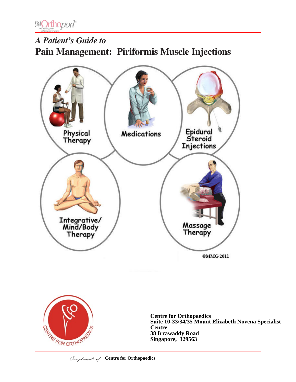

# *A Patient's Guide to* **Pain Management: Piriformis Muscle Injections**





**Centre for Orthopaedics Suite 10-33/34/35 Mount Elizabeth Novena Specialist Centre 38 Irrawaddy Road Singapore, 329563**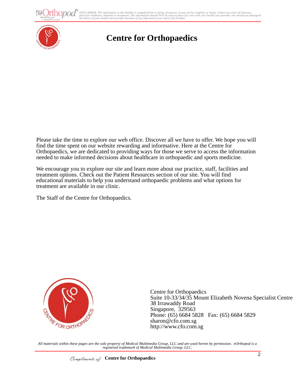ho*pod* 

DISCLAIMER: The information in this booklet is compiled from a variety of sources. It may not be complete or timely. It does not cover all diseases,<br>physical conditions, ailments or treatments. The information yould NOT be



# **Centre for Orthopaedics**

Please take the time to explore our web office. Discover all we have to offer. We hope you will find the time spent on our website rewarding and informative. Here at the Centre for Orthopaedics, we are dedicated to providing ways for those we serve to access the information needed to make informed decisions about healthcare in orthopaedic and sports medicine.

We encourage you to explore our site and learn more about our practice, staff, facilities and treatment options. Check out the Patient Resources section of our site. You will find educational materials to help you understand orthopaedic problems and what options for treatment are available in our clinic.

The Staff of the Centre for Orthopaedics.



Centre for Orthopaedics Suite 10-33/34/35 Mount Elizabeth Novena Specialist Centre 38 Irrawaddy Road Singapore, 329563 Phone: (65) 6684 5828 Fax: (65) 6684 5829 sharon@cfo.com.sg http://www.cfo.com.sg

*All materials within these pages are the sole property of Medical Multimedia Group, LLC and are used herein by permission. eOrthopod is a registered trademark of Medical Multimedia Group, LLC.*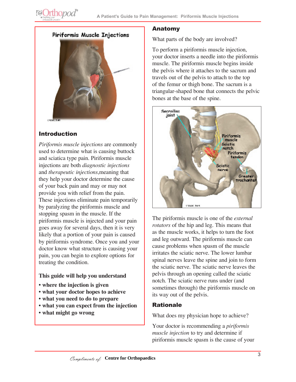



### Introduction

**@Orthopod®** 

*Piriformis muscle injections* are commonly used to determine what is causing buttock and sciatica type pain. Piriformis muscle injections are both *diagnostic injections* and *therapeutic injections*,meaning that they help your doctor determine the cause of your back pain and may or may not provide you with relief from the pain. These injections eliminate pain temporarily by paralyzing the piriformis muscle and stopping spasm in the muscle. If the piriformis muscle is injected and your pain goes away for several days, then it is very likely that a portion of your pain is caused by piriformis syndrome. Once you and your doctor know what structure is causing your pain, you can begin to explore options for treating the condition.

### **This guide will help you understand**

- **where the injection is given**
- **what your doctor hopes to achieve**
- **what you need to do to prepare**
- **what you can expect from the injection**
- **what might go wrong**

### Anatomy

What parts of the body are involved?

To perform a piriformis muscle injection, your doctor inserts a needle into the piriformis muscle. The piriformis muscle begins inside the pelvis where it attaches to the sacrum and travels out of the pelvis to attach to the top of the femur or thigh bone. The sacrum is a triangular-shaped bone that connects the pelvic bones at the base of the spine.



The piriformis muscle is one of the *external rotators* of the hip and leg. This means that as the muscle works, it helps to turn the foot and leg outward. The piriformis muscle can cause problems when spasm of the muscle irritates the sciatic nerve. The lower lumbar spinal nerves leave the spine and join to form the sciatic nerve. The sciatic nerve leaves the pelvis through an opening called the sciatic notch. The sciatic nerve runs under (and sometimes through) the piriformis muscle on its way out of the pelvis.

### Rationale

What does my physician hope to achieve?

Your doctor is recommending a *piriformis muscle injection* to try and determine if piriformis muscle spasm is the cause of your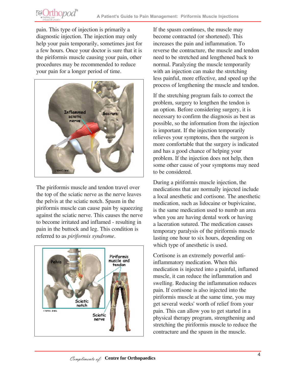pain. This type of injection is primarily a diagnostic injection. The injection may only help your pain temporarily, sometimes just for a few hours. Once your doctor is sure that it is the piriformis muscle causing your pain, other procedures may be recommended to reduce your pain for a longer period of time.

**POrthopod**®



The piriformis muscle and tendon travel over the top of the sciatic nerve as the nerve leaves the pelvis at the sciatic notch. Spasm in the piriformis muscle can cause pain by squeezing against the sciatic nerve. This causes the nerve to become irritated and inflamed - resulting in pain in the buttock and leg. This condition is referred to as *piriformis syndrome*.



If the spasm continues, the muscle may become contracted (or shortened). This increases the pain and inflammation. To reverse the contracture, the muscle and tendon need to be stretched and lengthened back to normal. Paralyzing the muscle temporarily with an injection can make the stretching less painful, more effective, and speed up the process of lengthening the muscle and tendon.

If the stretching program fails to correct the problem, surgery to lengthen the tendon is an option. Before considering surgery, it is necessary to confirm the diagnosis as best as possible, so the information from the injection is important. If the injection temporarily relieves your symptoms, then the surgeon is more comfortable that the surgery is indicated and has a good chance of helping your problem. If the injection does not help, then some other cause of your symptoms may need to be considered.

During a piriformis muscle injection, the medications that are normally injected include a local anesthetic and cortisone. The anesthetic medication, such as lidocaine or bupivicaine, is the same medication used to numb an area when you are having dental work or having a laceration sutured. The medication causes temporary paralysis of the piriformis muscle lasting one hour to six hours, depending on which type of anesthetic is used.

Cortisone is an extremely powerful antiinflammatory medication. When this medication is injected into a painful, inflamed muscle, it can reduce the inflammation and swelling. Reducing the inflammation reduces pain. If cortisone is also injected into the piriformis muscle at the same time, you may get several weeks' worth of relief from your pain. This can allow you to get started in a physical therapy program, strengthening and stretching the piriformis muscle to reduce the contracture and the spasm in the muscle.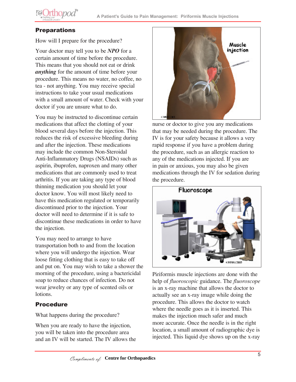

# **Preparations**

How will I prepare for the procedure?

Your doctor may tell you to be *NPO* for a certain amount of time before the procedure. This means that you should not eat or drink *anything* for the amount of time before your procedure. This means no water, no coffee, no tea - not anything. You may receive special instructions to take your usual medications with a small amount of water. Check with your doctor if you are unsure what to do.

You may be instructed to discontinue certain medications that affect the clotting of your blood several days before the injection. This reduces the risk of excessive bleeding during and after the injection. These medications may include the common Non-Steroidal Anti-Inflammatory Drugs (NSAIDs) such as aspirin, ibuprofen, naproxen and many other medications that are commonly used to treat arthritis. If you are taking any type of blood thinning medication you should let your doctor know. You will most likely need to have this medication regulated or temporarily discontinued prior to the injection. Your doctor will need to determine if it is safe to discontinue these medications in order to have the injection.

You may need to arrange to have transportation both to and from the location where you will undergo the injection. Wear loose fitting clothing that is easy to take off and put on. You may wish to take a shower the morning of the procedure, using a bactericidal soap to reduce chances of infection. Do not wear jewelry or any type of scented oils or lotions.

## Procedure

What happens during the procedure?

When you are ready to have the injection, you will be taken into the procedure area and an IV will be started. The IV allows the



nurse or doctor to give you any medications that may be needed during the procedure. The IV is for your safety because it allows a very rapid response if you have a problem during the procedure, such as an allergic reaction to any of the medications injected. If you are in pain or anxious, you may also be given medications through the IV for sedation during the procedure.



Piriformis muscle injections are done with the help of *fluoroscopic* guidance. The *fluoroscope* is an x-ray machine that allows the doctor to actually see an x-ray image while doing the procedure. This allows the doctor to watch where the needle goes as it is inserted. This makes the injection much safer and much more accurate. Once the needle is in the right location, a small amount of radiographic dye is injected. This liquid dye shows up on the x-ray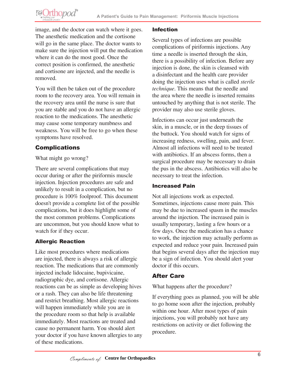# **@Orthopod®**

image, and the doctor can watch where it goes. The anesthetic medication and the cortisone will go in the same place. The doctor wants to make sure the injection will put the medication where it can do the most good. Once the correct position is confirmed, the anesthetic and cortisone are injected, and the needle is removed.

You will then be taken out of the procedure room to the recovery area. You will remain in the recovery area until the nurse is sure that you are stable and you do not have an allergic reaction to the medications. The anesthetic may cause some temporary numbness and weakness. You will be free to go when these symptoms have resolved.

# Complications

What might go wrong?

There are several complications that may occur during or after the piriformis muscle injection. Injection procedures are safe and unlikely to result in a complication, but no procedure is 100% foolproof. This document doesn't provide a complete list of the possible complications, but it does highlight some of the most common problems. Complications are uncommon, but you should know what to watch for if they occur.

# Allergic Reaction

Like most procedures where medications are injected, there is always a risk of allergic reaction. The medications that are commonly injected include lidocaine, bupivicaine, radiographic dye, and cortisone. Allergic reactions can be as simple as developing hives or a rash. They can also be life threatening and restrict breathing. Most allergic reactions will happen immediately while you are in the procedure room so that help is available immediately. Most reactions are treated and cause no permanent harm. You should alert your doctor if you have known allergies to any of these medications.

### Infection

Several types of infections are possible complications of piriformis injections. Any time a needle is inserted through the skin, there is a possibility of infection. Before any injection is done, the skin is cleansed with a disinfectant and the health care provider doing the injection uses what is called *sterile technique*. This means that the needle and the area where the needle is inserted remains untouched by anything that is not sterile. The provider may also use sterile gloves.

Infections can occur just underneath the skin, in a muscle, or in the deep tissues of the buttock. You should watch for signs of increasing redness, swelling, pain, and fever. Almost all infections will need to be treated with antibiotics. If an abscess forms, then a surgical procedure may be necessary to drain the pus in the abscess. Antibiotics will also be necessary to treat the infection.

## Increased Pain

Not all injections work as expected. Sometimes, injections cause more pain. This may be due to increased spasm in the muscles around the injection. The increased pain is usually temporary, lasting a few hours or a few days. Once the medication has a chance to work, the injection may actually perform as expected and reduce your pain. Increased pain that begins several days after the injection may be a sign of infection. You should alert your doctor if this occurs.

# After Care

What happens after the procedure?

If everything goes as planned, you will be able to go home soon after the injection, probably within one hour. After most types of pain injections, you will probably not have any restrictions on activity or diet following the procedure.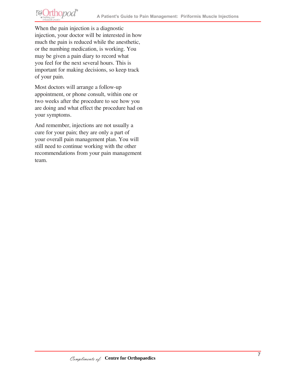# Orthopod<sup>®</sup> **FALL**

When the pain injection is a diagnostic injection, your doctor will be interested in how much the pain is reduced while the anesthetic, or the numbing medication, is working. You may be given a pain diary to record what you feel for the next several hours. This is important for making decisions, so keep track of your pain.

Most doctors will arrange a follow-up appointment, or phone consult, within one or two weeks after the procedure to see how you are doing and what effect the procedure had on your symptoms.

And remember, injections are not usually a cure for your pain; they are only a part of your overall pain management plan. You will still need to continue working with the other recommendations from your pain management team.